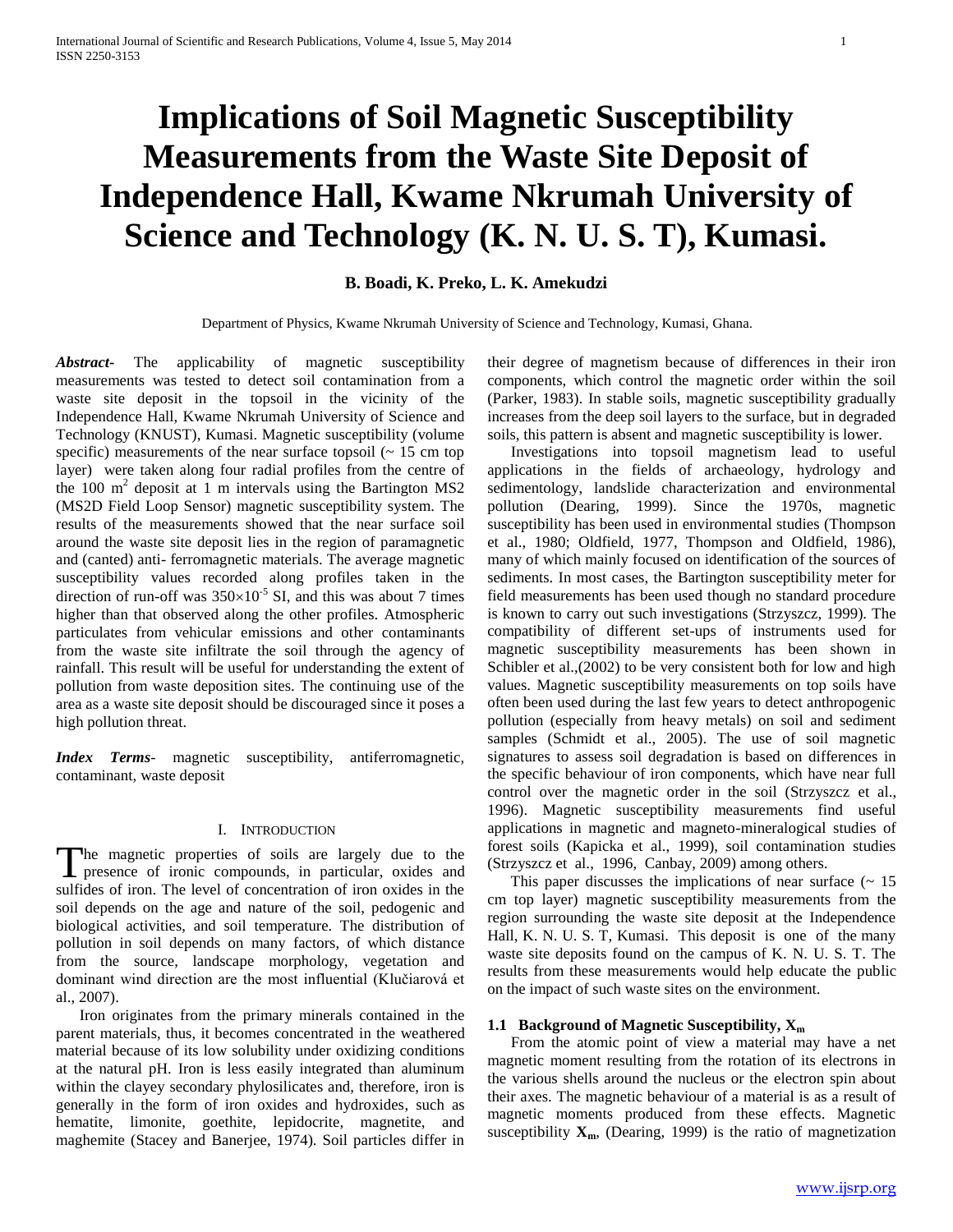# **Implications of Soil Magnetic Susceptibility Measurements from the Waste Site Deposit of Independence Hall, Kwame Nkrumah University of Science and Technology (K. N. U. S. T), Kumasi.**

# **B. Boadi, K. Preko, L. K. Amekudzi**

Department of Physics, Kwame Nkrumah University of Science and Technology, Kumasi, Ghana.

*Abstract***-** The applicability of magnetic susceptibility measurements was tested to detect soil contamination from a waste site deposit in the topsoil in the vicinity of the Independence Hall, Kwame Nkrumah University of Science and Technology (KNUST), Kumasi. Magnetic susceptibility (volume specific) measurements of the near surface topsoil  $($   $\sim$  15 cm top layer) were taken along four radial profiles from the centre of the 100  $m<sup>2</sup>$  deposit at 1 m intervals using the Bartington MS2 (MS2D Field Loop Sensor) magnetic susceptibility system. The results of the measurements showed that the near surface soil around the waste site deposit lies in the region of paramagnetic and (canted) anti- ferromagnetic materials. The average magnetic susceptibility values recorded along profiles taken in the direction of run-off was  $350\times10^{-5}$  SI, and this was about 7 times higher than that observed along the other profiles. Atmospheric particulates from vehicular emissions and other contaminants from the waste site infiltrate the soil through the agency of rainfall. This result will be useful for understanding the extent of pollution from waste deposition sites. The continuing use of the area as a waste site deposit should be discouraged since it poses a high pollution threat.

*Index Terms*- magnetic susceptibility, antiferromagnetic, contaminant, waste deposit

## I. INTRODUCTION

he magnetic properties of soils are largely due to the The magnetic properties of soils are largely due to the presence of ironic compounds, in particular, oxides and sulfides of iron. The level of concentration of iron oxides in the soil depends on the age and nature of the soil, pedogenic and biological activities, and soil temperature. The distribution of pollution in soil depends on many factors, of which distance from the source, landscape morphology, vegetation and dominant wind direction are the most influential (Klučiarová et al., 2007).

 Iron originates from the primary minerals contained in the parent materials, thus, it becomes concentrated in the weathered material because of its low solubility under oxidizing conditions at the natural pH. Iron is less easily integrated than aluminum within the clayey secondary phylosilicates and, therefore, iron is generally in the form of iron oxides and hydroxides, such as hematite, limonite, goethite, lepidocrite, magnetite, and maghemite (Stacey and Banerjee, 1974). Soil particles differ in

their degree of magnetism because of differences in their iron components, which control the magnetic order within the soil (Parker, 1983). In stable soils, magnetic susceptibility gradually increases from the deep soil layers to the surface, but in degraded soils, this pattern is absent and magnetic susceptibility is lower.

 Investigations into topsoil magnetism lead to useful applications in the fields of archaeology, hydrology and sedimentology, landslide characterization and environmental pollution (Dearing, 1999). Since the 1970s, magnetic susceptibility has been used in environmental studies (Thompson et al., 1980; Oldfield, 1977, Thompson and Oldfield, 1986), many of which mainly focused on identification of the sources of sediments. In most cases, the Bartington susceptibility meter for field measurements has been used though no standard procedure is known to carry out such investigations (Strzyszcz, 1999). The compatibility of different set-ups of instruments used for magnetic susceptibility measurements has been shown in Schibler et al.,(2002) to be very consistent both for low and high values. Magnetic susceptibility measurements on top soils have often been used during the last few years to detect anthropogenic pollution (especially from heavy metals) on soil and sediment samples (Schmidt et al., 2005). The use of soil magnetic signatures to assess soil degradation is based on differences in the specific behaviour of iron components, which have near full control over the magnetic order in the soil (Strzyszcz et al., 1996). Magnetic susceptibility measurements find useful applications in magnetic and magneto-mineralogical studies of forest soils (Kapicka et al., 1999), soil contamination studies (Strzyszcz et al., 1996, Canbay, 2009) among others.

This paper discusses the implications of near surface  $($   $\sim$  15 cm top layer) magnetic susceptibility measurements from the region surrounding the waste site deposit at the Independence Hall, K. N. U. S. T, Kumasi. This deposit is one of the many waste site deposits found on the campus of K. N. U. S. T. The results from these measurements would help educate the public on the impact of such waste sites on the environment.

### **1.1 Background of Magnetic Susceptibility, X<sup>m</sup>**

 From the atomic point of view a material may have a net magnetic moment resulting from the rotation of its electrons in the various shells around the nucleus or the electron spin about their axes. The magnetic behaviour of a material is as a result of magnetic moments produced from these effects. Magnetic susceptibility  $\mathbf{X}_m$ , (Dearing, 1999) is the ratio of magnetization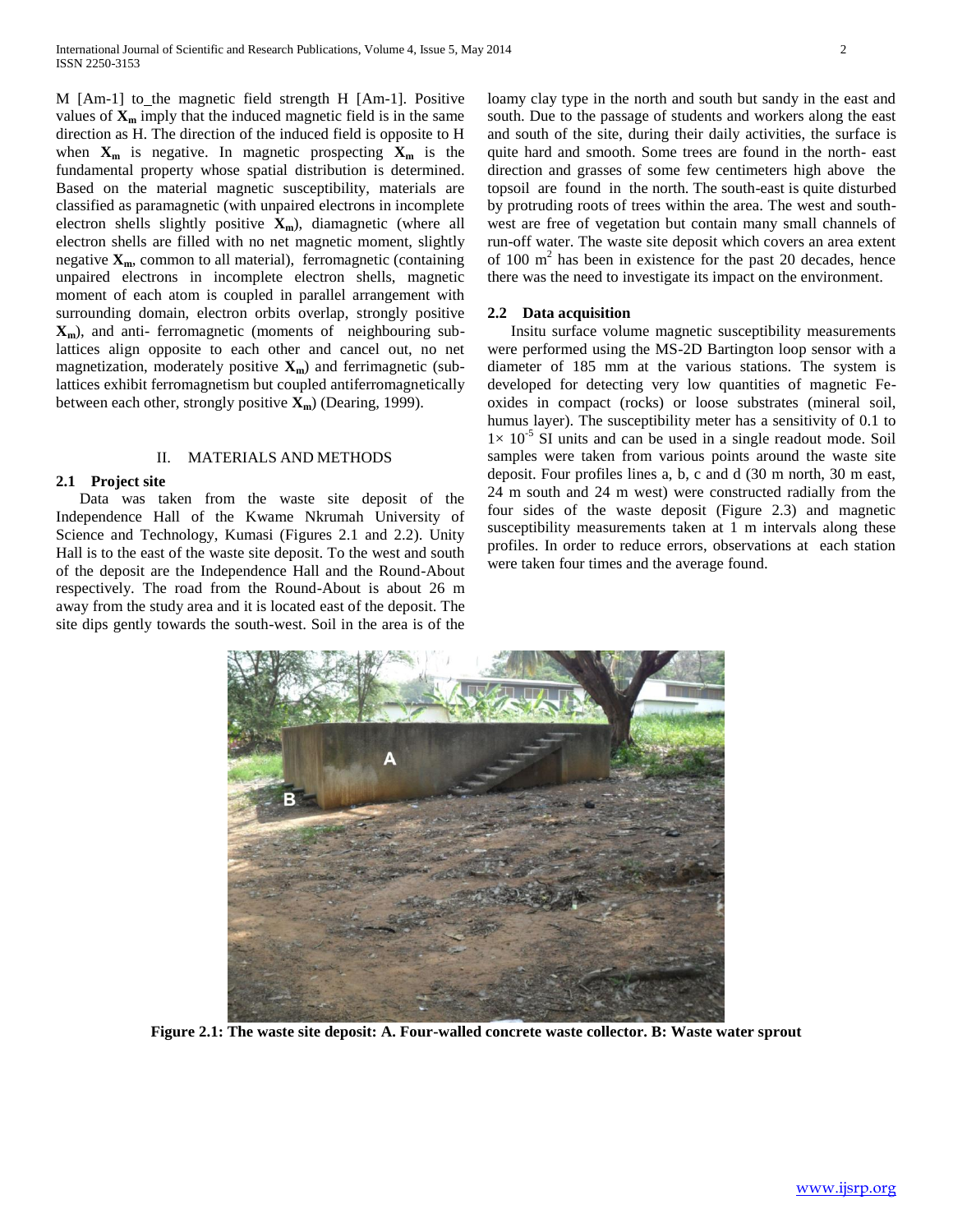M [Am-1] to\_the magnetic field strength H [Am-1]. Positive values of  $\mathbf{X}_m$  imply that the induced magnetic field is in the same direction as H. The direction of the induced field is opposite to H when  $X_m$  is negative. In magnetic prospecting  $X_m$  is the fundamental property whose spatial distribution is determined. Based on the material magnetic susceptibility, materials are classified as paramagnetic (with unpaired electrons in incomplete electron shells slightly positive **Xm**), diamagnetic (where all electron shells are filled with no net magnetic moment, slightly negative **Xm**, common to all material), ferromagnetic (containing unpaired electrons in incomplete electron shells, magnetic moment of each atom is coupled in parallel arrangement with surrounding domain, electron orbits overlap, strongly positive **Xm**), and anti- ferromagnetic (moments of neighbouring sublattices align opposite to each other and cancel out, no net magnetization, moderately positive **Xm**) and ferrimagnetic (sublattices exhibit ferromagnetism but coupled antiferromagnetically between each other, strongly positive **Xm**) (Dearing, 1999).

## II. MATERIALS AND METHODS

#### **2.1 Project site**

 Data was taken from the waste site deposit of the Independence Hall of the Kwame Nkrumah University of Science and Technology, Kumasi (Figures 2.1 and 2.2). Unity Hall is to the east of the waste site deposit. To the west and south of the deposit are the Independence Hall and the Round-About respectively. The road from the Round-About is about 26 m away from the study area and it is located east of the deposit. The site dips gently towards the south-west. Soil in the area is of the

loamy clay type in the north and south but sandy in the east and south. Due to the passage of students and workers along the east and south of the site, during their daily activities, the surface is quite hard and smooth. Some trees are found in the north- east direction and grasses of some few centimeters high above the topsoil are found in the north. The south-east is quite disturbed by protruding roots of trees within the area. The west and southwest are free of vegetation but contain many small channels of run-off water. The waste site deposit which covers an area extent of  $100 \text{ m}^2$  has been in existence for the past 20 decades, hence there was the need to investigate its impact on the environment.

### **2.2 Data acquisition**

 Insitu surface volume magnetic susceptibility measurements were performed using the MS-2D Bartington loop sensor with a diameter of 185 mm at the various stations. The system is developed for detecting very low quantities of magnetic Feoxides in compact (rocks) or loose substrates (mineral soil, humus layer). The susceptibility meter has a sensitivity of 0.1 to  $1 \times 10^{-5}$  SI units and can be used in a single readout mode. Soil samples were taken from various points around the waste site deposit. Four profiles lines a, b, c and d (30 m north, 30 m east, 24 m south and 24 m west) were constructed radially from the four sides of the waste deposit (Figure 2.3) and magnetic susceptibility measurements taken at 1 m intervals along these profiles. In order to reduce errors, observations at each station were taken four times and the average found.



**Figure 2.1: The waste site deposit: A. Four-walled concrete waste collector. B: Waste water sprout**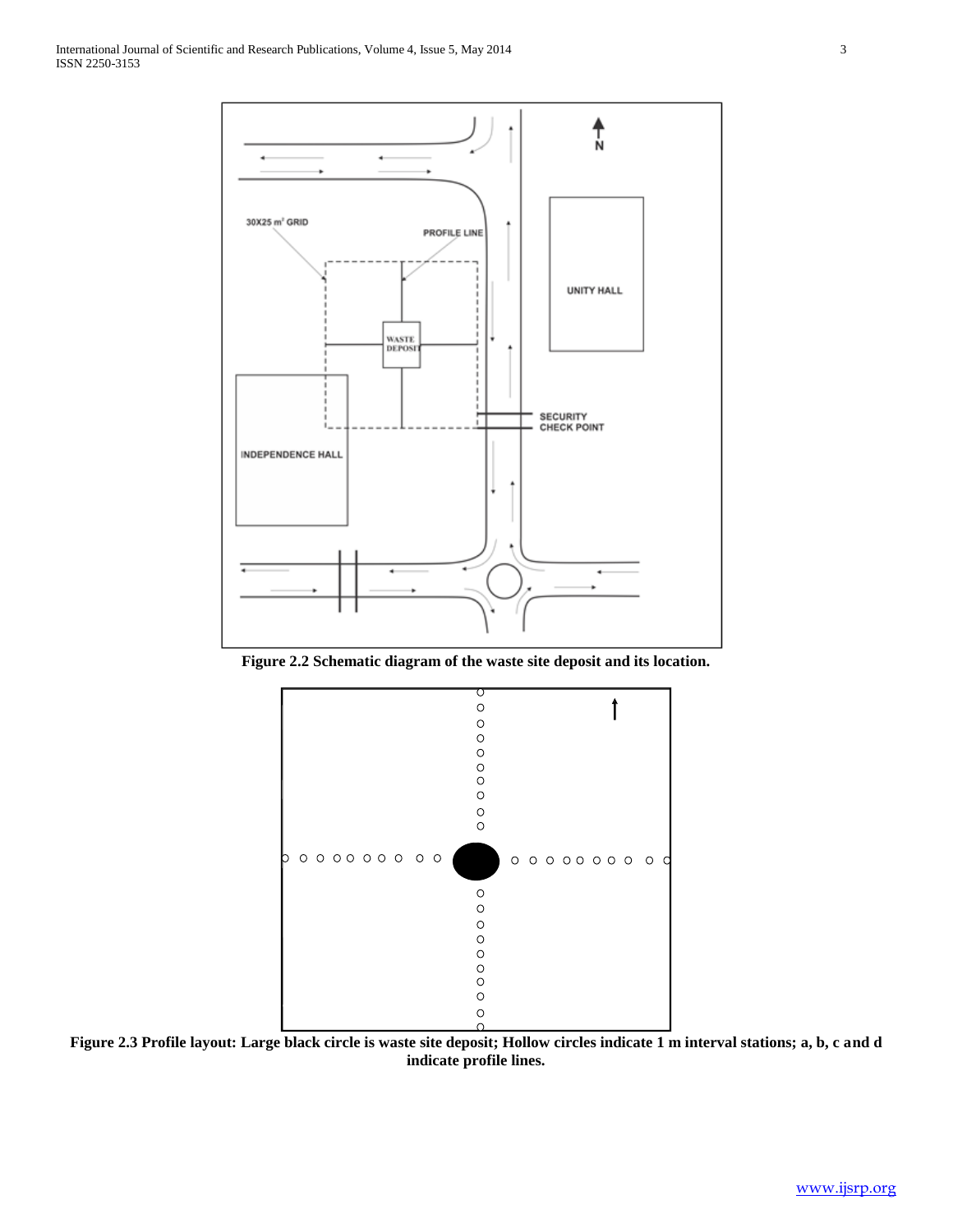

**Figure 2.2 Schematic diagram of the waste site deposit and its location.**



**Figure 2.3 Profile layout: Large black circle is waste site deposit; Hollow circles indicate 1 m interval stations; a, b, c and d indicate profile lines.**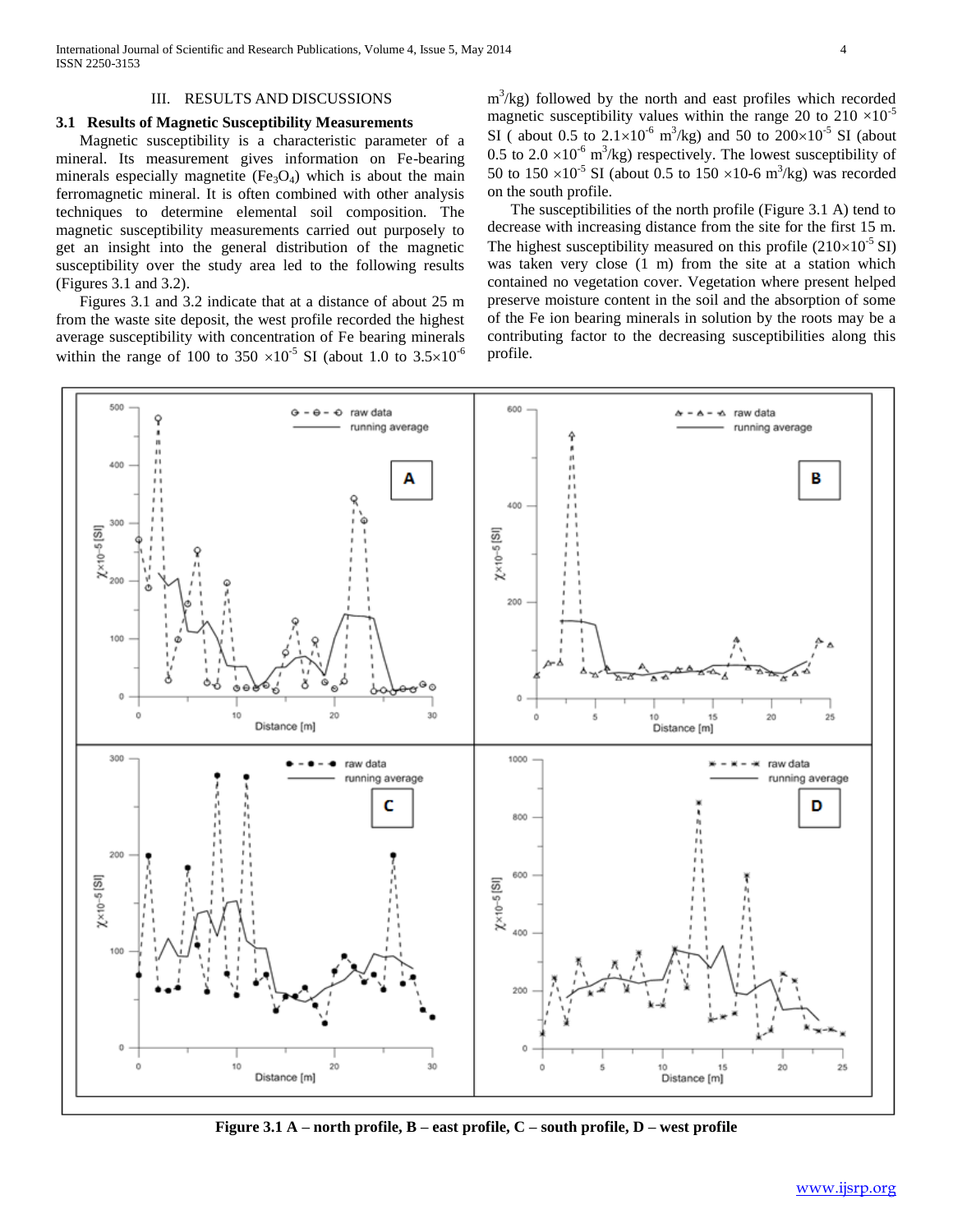## III. RESULTS AND DISCUSSIONS

## **3.1 Results of Magnetic Susceptibility Measurements**

 Magnetic susceptibility is a characteristic parameter of a mineral. Its measurement gives information on Fe-bearing minerals especially magnetite  $(Fe_3O_4)$  which is about the main ferromagnetic mineral. It is often combined with other analysis techniques to determine elemental soil composition. The magnetic susceptibility measurements carried out purposely to get an insight into the general distribution of the magnetic susceptibility over the study area led to the following results (Figures 3.1 and 3.2).

 Figures 3.1 and 3.2 indicate that at a distance of about 25 m from the waste site deposit, the west profile recorded the highest average susceptibility with concentration of Fe bearing minerals within the range of 100 to 350  $\times 10^{-5}$  SI (about 1.0 to 3.5 $\times 10^{-6}$ 

 $m<sup>3</sup>/kg$ ) followed by the north and east profiles which recorded magnetic susceptibility values within the range 20 to  $210 \times 10^{-5}$ SI (about 0.5 to  $2.1 \times 10^{-6}$  m<sup>3</sup>/kg) and 50 to  $200 \times 10^{-5}$  SI (about 0.5 to 2.0  $\times$ 10<sup>-6</sup> m<sup>3</sup>/kg) respectively. The lowest susceptibility of 50 to  $150 \times 10^{-5}$  SI (about 0.5 to  $150 \times 10^{-6}$  m<sup>3</sup>/kg) was recorded on the south profile.

 The susceptibilities of the north profile (Figure 3.1 A) tend to decrease with increasing distance from the site for the first 15 m. The highest susceptibility measured on this profile  $(210\times10^{-5} \text{ SI})$ was taken very close (1 m) from the site at a station which contained no vegetation cover. Vegetation where present helped preserve moisture content in the soil and the absorption of some of the Fe ion bearing minerals in solution by the roots may be a contributing factor to the decreasing susceptibilities along this profile.



**Figure 3.1 A – north profile, B – east profile, C – south profile, D – west profile**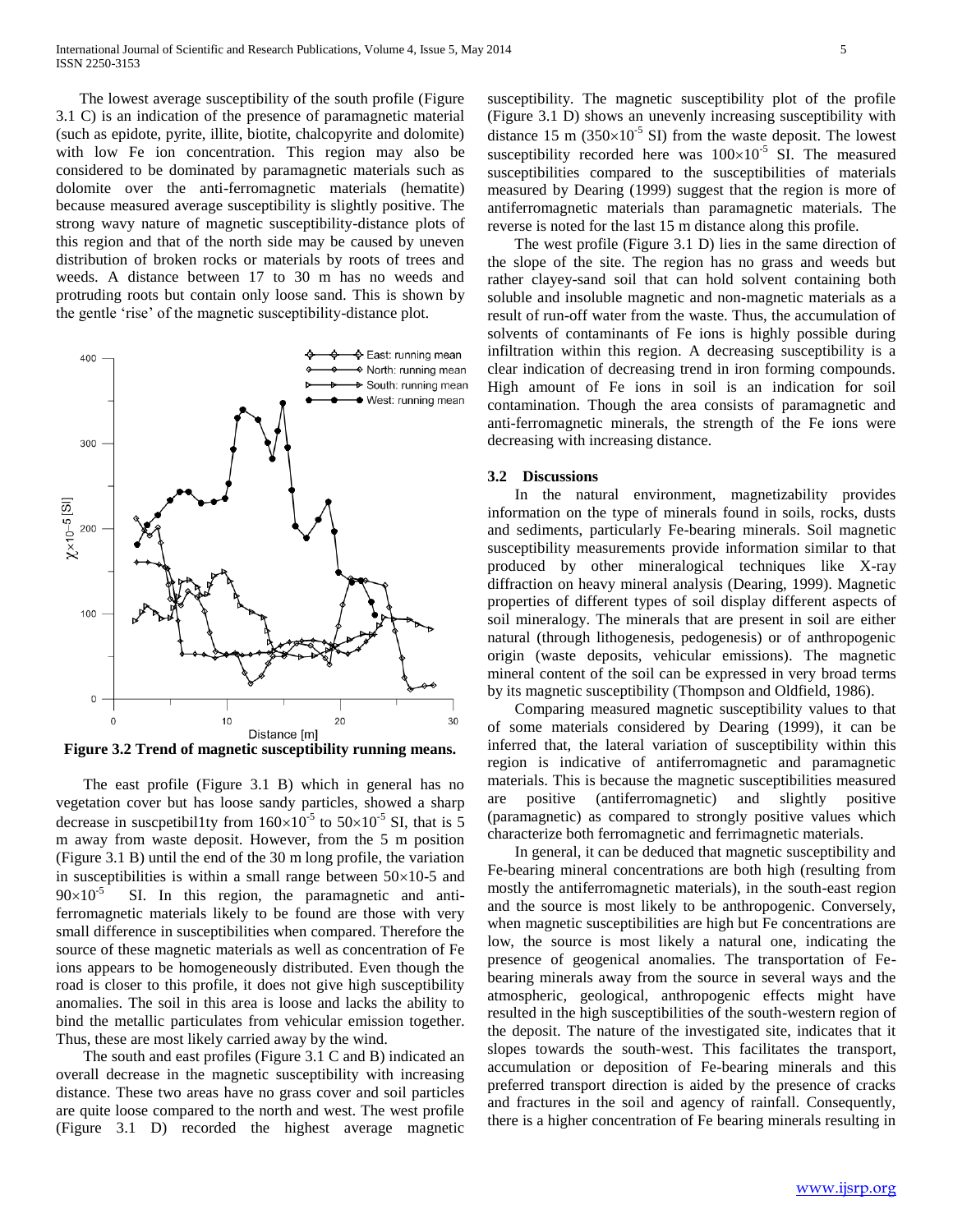The lowest average susceptibility of the south profile (Figure 3.1 C) is an indication of the presence of paramagnetic material (such as epidote, pyrite, illite, biotite, chalcopyrite and dolomite) with low Fe ion concentration. This region may also be considered to be dominated by paramagnetic materials such as dolomite over the anti-ferromagnetic materials (hematite) because measured average susceptibility is slightly positive. The strong wavy nature of magnetic susceptibility-distance plots of this region and that of the north side may be caused by uneven distribution of broken rocks or materials by roots of trees and weeds. A distance between 17 to 30 m has no weeds and protruding roots but contain only loose sand. This is shown by the gentle 'rise' of the magnetic susceptibility-distance plot.



**Figure 3.2 Trend of magnetic susceptibility running means.**

 The east profile (Figure 3.1 B) which in general has no vegetation cover but has loose sandy particles, showed a sharp decrease in suscpetibil1ty from  $160\times10^{-5}$  to  $50\times10^{-5}$  SI, that is 5 m away from waste deposit. However, from the 5 m position (Figure 3.1 B) until the end of the 30 m long profile, the variation in susceptibilities is within a small range between  $50\times10-5$  and  $90\times10^{-5}$  SI. In this region, the paramagnetic and antiferromagnetic materials likely to be found are those with very small difference in susceptibilities when compared. Therefore the source of these magnetic materials as well as concentration of Fe ions appears to be homogeneously distributed. Even though the road is closer to this profile, it does not give high susceptibility anomalies. The soil in this area is loose and lacks the ability to bind the metallic particulates from vehicular emission together. Thus, these are most likely carried away by the wind.

 The south and east profiles (Figure 3.1 C and B) indicated an overall decrease in the magnetic susceptibility with increasing distance. These two areas have no grass cover and soil particles are quite loose compared to the north and west. The west profile (Figure 3.1 D) recorded the highest average magnetic susceptibility. The magnetic susceptibility plot of the profile (Figure 3.1 D) shows an unevenly increasing susceptibility with distance 15 m ( $350\times10^{-5}$  SI) from the waste deposit. The lowest susceptibility recorded here was  $100\times10^{-5}$  SI. The measured susceptibilities compared to the susceptibilities of materials measured by Dearing (1999) suggest that the region is more of antiferromagnetic materials than paramagnetic materials. The reverse is noted for the last 15 m distance along this profile.

 The west profile (Figure 3.1 D) lies in the same direction of the slope of the site. The region has no grass and weeds but rather clayey-sand soil that can hold solvent containing both soluble and insoluble magnetic and non-magnetic materials as a result of run-off water from the waste. Thus, the accumulation of solvents of contaminants of Fe ions is highly possible during infiltration within this region. A decreasing susceptibility is a clear indication of decreasing trend in iron forming compounds. High amount of Fe ions in soil is an indication for soil contamination. Though the area consists of paramagnetic and anti-ferromagnetic minerals, the strength of the Fe ions were decreasing with increasing distance.

### **3.2 Discussions**

 In the natural environment, magnetizability provides information on the type of minerals found in soils, rocks, dusts and sediments, particularly Fe-bearing minerals. Soil magnetic susceptibility measurements provide information similar to that produced by other mineralogical techniques like X-ray diffraction on heavy mineral analysis (Dearing, 1999). Magnetic properties of different types of soil display different aspects of soil mineralogy. The minerals that are present in soil are either natural (through lithogenesis, pedogenesis) or of anthropogenic origin (waste deposits, vehicular emissions). The magnetic mineral content of the soil can be expressed in very broad terms by its magnetic susceptibility (Thompson and Oldfield, 1986).

 Comparing measured magnetic susceptibility values to that of some materials considered by Dearing (1999), it can be inferred that, the lateral variation of susceptibility within this region is indicative of antiferromagnetic and paramagnetic materials. This is because the magnetic susceptibilities measured are positive (antiferromagnetic) and slightly positive (paramagnetic) as compared to strongly positive values which characterize both ferromagnetic and ferrimagnetic materials.

 In general, it can be deduced that magnetic susceptibility and Fe-bearing mineral concentrations are both high (resulting from mostly the antiferromagnetic materials), in the south-east region and the source is most likely to be anthropogenic. Conversely, when magnetic susceptibilities are high but Fe concentrations are low, the source is most likely a natural one, indicating the presence of geogenical anomalies. The transportation of Febearing minerals away from the source in several ways and the atmospheric, geological, anthropogenic effects might have resulted in the high susceptibilities of the south-western region of the deposit. The nature of the investigated site, indicates that it slopes towards the south-west. This facilitates the transport, accumulation or deposition of Fe-bearing minerals and this preferred transport direction is aided by the presence of cracks and fractures in the soil and agency of rainfall. Consequently, there is a higher concentration of Fe bearing minerals resulting in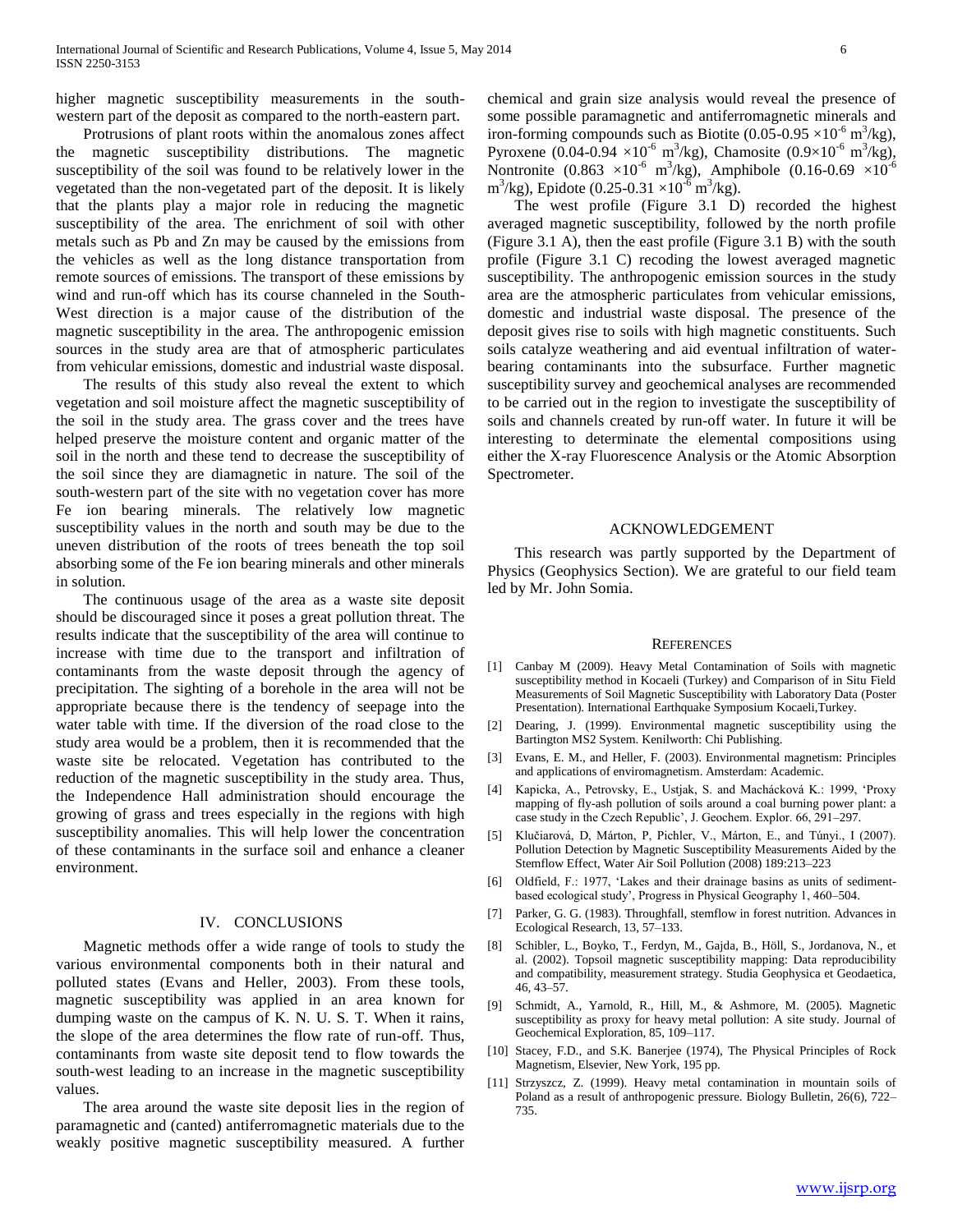higher magnetic susceptibility measurements in the southwestern part of the deposit as compared to the north-eastern part.

 Protrusions of plant roots within the anomalous zones affect the magnetic susceptibility distributions. The magnetic susceptibility of the soil was found to be relatively lower in the vegetated than the non-vegetated part of the deposit. It is likely that the plants play a major role in reducing the magnetic susceptibility of the area. The enrichment of soil with other metals such as Pb and Zn may be caused by the emissions from the vehicles as well as the long distance transportation from remote sources of emissions. The transport of these emissions by wind and run-off which has its course channeled in the South-West direction is a major cause of the distribution of the magnetic susceptibility in the area. The anthropogenic emission sources in the study area are that of atmospheric particulates from vehicular emissions, domestic and industrial waste disposal.

 The results of this study also reveal the extent to which vegetation and soil moisture affect the magnetic susceptibility of the soil in the study area. The grass cover and the trees have helped preserve the moisture content and organic matter of the soil in the north and these tend to decrease the susceptibility of the soil since they are diamagnetic in nature. The soil of the south-western part of the site with no vegetation cover has more Fe ion bearing minerals. The relatively low magnetic susceptibility values in the north and south may be due to the uneven distribution of the roots of trees beneath the top soil absorbing some of the Fe ion bearing minerals and other minerals in solution.

 The continuous usage of the area as a waste site deposit should be discouraged since it poses a great pollution threat. The results indicate that the susceptibility of the area will continue to increase with time due to the transport and infiltration of contaminants from the waste deposit through the agency of precipitation. The sighting of a borehole in the area will not be appropriate because there is the tendency of seepage into the water table with time. If the diversion of the road close to the study area would be a problem, then it is recommended that the waste site be relocated. Vegetation has contributed to the reduction of the magnetic susceptibility in the study area. Thus, the Independence Hall administration should encourage the growing of grass and trees especially in the regions with high susceptibility anomalies. This will help lower the concentration of these contaminants in the surface soil and enhance a cleaner environment.

#### IV. CONCLUSIONS

 Magnetic methods offer a wide range of tools to study the various environmental components both in their natural and polluted states (Evans and Heller, 2003). From these tools, magnetic susceptibility was applied in an area known for dumping waste on the campus of K. N. U. S. T. When it rains, the slope of the area determines the flow rate of run-off. Thus, contaminants from waste site deposit tend to flow towards the south-west leading to an increase in the magnetic susceptibility values.

 The area around the waste site deposit lies in the region of paramagnetic and (canted) antiferromagnetic materials due to the weakly positive magnetic susceptibility measured. A further chemical and grain size analysis would reveal the presence of some possible paramagnetic and antiferromagnetic minerals and iron-forming compounds such as Biotite  $(0.05{\text -}0.95 \times 10^{6} \text{ m}^3/\text{kg})$ , Pyroxene (0.04-0.94  $\times 10^{-6}$  m<sup>3</sup>/kg), Chamosite (0.9 $\times 10^{-6}$  m<sup>3</sup>/kg), Nontronite (0.863  $\times 10^{-6}$  m<sup>3</sup>/kg), Amphibole (0.16-0.69  $\times 10^{-6}$  $\text{m}^3/\text{kg}$ ), Epidote (0.25-0.31 ×10<sup>-6</sup> m<sup>3</sup>/kg).

 The west profile (Figure 3.1 D) recorded the highest averaged magnetic susceptibility, followed by the north profile (Figure 3.1 A), then the east profile (Figure 3.1 B) with the south profile (Figure 3.1 C) recoding the lowest averaged magnetic susceptibility. The anthropogenic emission sources in the study area are the atmospheric particulates from vehicular emissions, domestic and industrial waste disposal. The presence of the deposit gives rise to soils with high magnetic constituents. Such soils catalyze weathering and aid eventual infiltration of waterbearing contaminants into the subsurface. Further magnetic susceptibility survey and geochemical analyses are recommended to be carried out in the region to investigate the susceptibility of soils and channels created by run-off water. In future it will be interesting to determinate the elemental compositions using either the X-ray Fluorescence Analysis or the Atomic Absorption Spectrometer.

#### ACKNOWLEDGEMENT

 This research was partly supported by the Department of Physics (Geophysics Section). We are grateful to our field team led by Mr. John Somia.

#### **REFERENCES**

- [1] Canbay M (2009). Heavy Metal Contamination of Soils with magnetic susceptibility method in Kocaeli (Turkey) and Comparison of in Situ Field Measurements of Soil Magnetic Susceptibility with Laboratory Data (Poster Presentation). International Earthquake Symposium Kocaeli,Turkey.
- [2] Dearing, J. (1999). Environmental magnetic susceptibility using the Bartington MS2 System. Kenilworth: Chi Publishing.
- [3] Evans, E. M., and Heller, F. (2003). Environmental magnetism: Principles and applications of enviromagnetism. Amsterdam: Academic.
- [4] Kapicka, A., Petrovsky, E., Ustjak, S. and Machácková K.: 1999, 'Proxy mapping of fly-ash pollution of soils around a coal burning power plant: a case study in the Czech Republic', J. Geochem. Explor. 66, 291–297.
- [5] Klučiarová, D, Márton, P, Pichler, V., Márton, E., and Túnyi., I (2007). Pollution Detection by Magnetic Susceptibility Measurements Aided by the Stemflow Effect, Water Air Soil Pollution (2008) 189:213–223
- [6] Oldfield, F.: 1977, 'Lakes and their drainage basins as units of sedimentbased ecological study', Progress in Physical Geography 1, 460–504.
- [7] Parker, G. G. (1983). Throughfall, stemflow in forest nutrition. Advances in Ecological Research, 13, 57–133.
- [8] Schibler, L., Boyko, T., Ferdyn, M., Gajda, B., Höll, S., Jordanova, N., et al. (2002). Topsoil magnetic susceptibility mapping: Data reproducibility and compatibility, measurement strategy. Studia Geophysica et Geodaetica, 46, 43–57.
- [9] Schmidt, A., Yarnold, R., Hill, M., & Ashmore, M. (2005). Magnetic susceptibility as proxy for heavy metal pollution: A site study. Journal of Geochemical Exploration, 85, 109–117.
- [10] Stacey, F.D., and S.K. Banerjee (1974), The Physical Principles of Rock Magnetism, Elsevier, New York, 195 pp.
- [11] Strzyszcz, Z. (1999). Heavy metal contamination in mountain soils of Poland as a result of anthropogenic pressure. Biology Bulletin, 26(6), 722– 735.